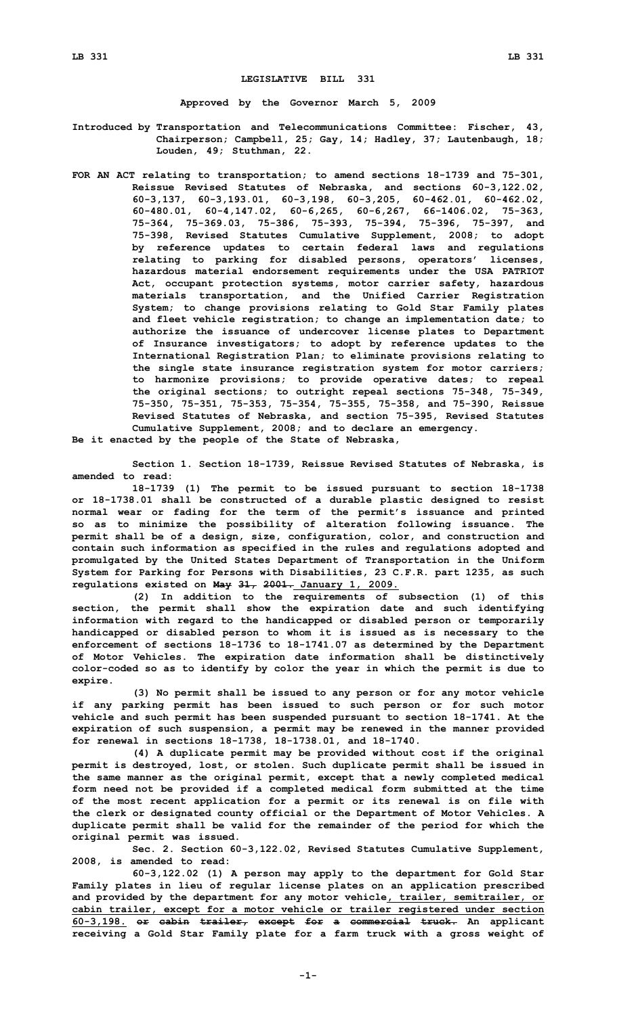## **LEGISLATIVE BILL 331**

**Approved by the Governor March 5, 2009**

- **Introduced by Transportation and Telecommunications Committee: Fischer, 43, Chairperson; Campbell, 25; Gay, 14; Hadley, 37; Lautenbaugh, 18; Louden, 49; Stuthman, 22.**
- **FOR AN ACT relating to transportation; to amend sections 18-1739 and 75-301, Reissue Revised Statutes of Nebraska, and sections 60-3,122.02, 60-3,137, 60-3,193.01, 60-3,198, 60-3,205, 60-462.01, 60-462.02, 60-480.01, 60-4,147.02, 60-6,265, 60-6,267, 66-1406.02, 75-363, 75-364, 75-369.03, 75-386, 75-393, 75-394, 75-396, 75-397, and 75-398, Revised Statutes Cumulative Supplement, 2008; to adopt by reference updates to certain federal laws and regulations relating to parking for disabled persons, operators' licenses, hazardous material endorsement requirements under the USA PATRIOT Act, occupant protection systems, motor carrier safety, hazardous materials transportation, and the Unified Carrier Registration System; to change provisions relating to Gold Star Family plates and fleet vehicle registration; to change an implementation date; to authorize the issuance of undercover license plates to Department of Insurance investigators; to adopt by reference updates to the International Registration Plan; to eliminate provisions relating to the single state insurance registration system for motor carriers; to harmonize provisions; to provide operative dates; to repeal the original sections; to outright repeal sections 75-348, 75-349, 75-350, 75-351, 75-353, 75-354, 75-355, 75-358, and 75-390, Reissue Revised Statutes of Nebraska, and section 75-395, Revised Statutes Cumulative Supplement, 2008; and to declare an emergency.**

**Be it enacted by the people of the State of Nebraska,**

**Section 1. Section 18-1739, Reissue Revised Statutes of Nebraska, is amended to read:**

**18-1739 (1) The permit to be issued pursuant to section 18-1738 or 18-1738.01 shall be constructed of <sup>a</sup> durable plastic designed to resist normal wear or fading for the term of the permit's issuance and printed so as to minimize the possibility of alteration following issuance. The permit shall be of <sup>a</sup> design, size, configuration, color, and construction and contain such information as specified in the rules and regulations adopted and promulgated by the United States Department of Transportation in the Uniform System for Parking for Persons with Disabilities, 23 C.F.R. part 1235, as such regulations existed on May 31, 2001. January 1, 2009.**

**(2) In addition to the requirements of subsection (1) of this section, the permit shall show the expiration date and such identifying information with regard to the handicapped or disabled person or temporarily handicapped or disabled person to whom it is issued as is necessary to the enforcement of sections 18-1736 to 18-1741.07 as determined by the Department of Motor Vehicles. The expiration date information shall be distinctively color-coded so as to identify by color the year in which the permit is due to expire.**

**(3) No permit shall be issued to any person or for any motor vehicle if any parking permit has been issued to such person or for such motor vehicle and such permit has been suspended pursuant to section 18-1741. At the expiration of such suspension, <sup>a</sup> permit may be renewed in the manner provided for renewal in sections 18-1738, 18-1738.01, and 18-1740.**

**(4) <sup>A</sup> duplicate permit may be provided without cost if the original permit is destroyed, lost, or stolen. Such duplicate permit shall be issued in the same manner as the original permit, except that <sup>a</sup> newly completed medical form need not be provided if <sup>a</sup> completed medical form submitted at the time of the most recent application for <sup>a</sup> permit or its renewal is on file with the clerk or designated county official or the Department of Motor Vehicles. A duplicate permit shall be valid for the remainder of the period for which the original permit was issued.**

**Sec. 2. Section 60-3,122.02, Revised Statutes Cumulative Supplement, 2008, is amended to read:**

**60-3,122.02 (1) <sup>A</sup> person may apply to the department for Gold Star Family plates in lieu of regular license plates on an application prescribed and provided by the department for any motor vehicle, trailer, semitrailer, or cabin trailer, except for <sup>a</sup> motor vehicle or trailer registered under section 60-3,198. or cabin trailer, except for <sup>a</sup> commercial truck. An applicant receiving <sup>a</sup> Gold Star Family plate for <sup>a</sup> farm truck with <sup>a</sup> gross weight of**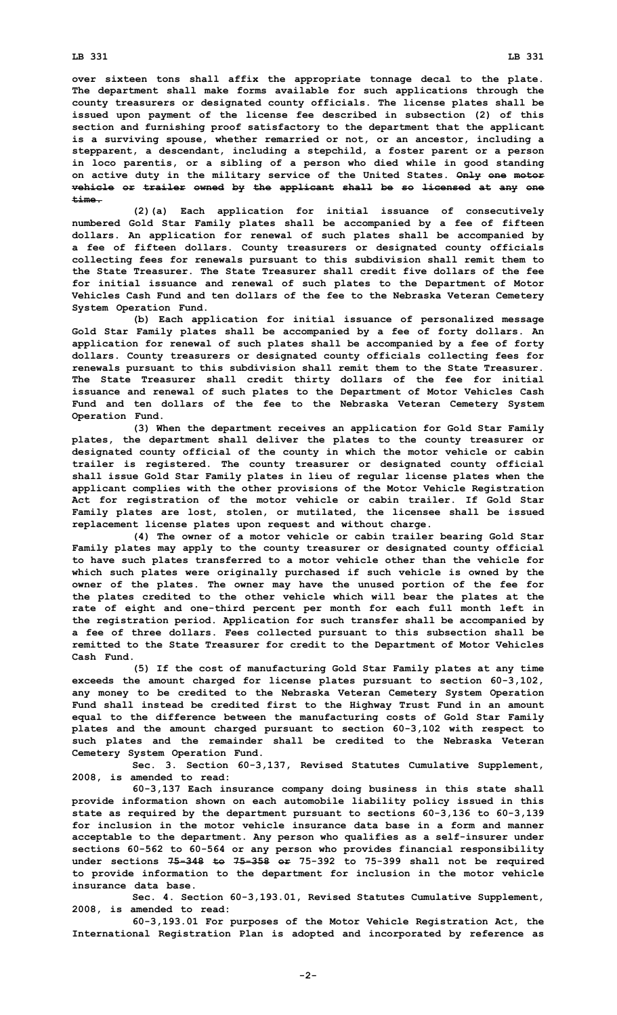**over sixteen tons shall affix the appropriate tonnage decal to the plate. The department shall make forms available for such applications through the county treasurers or designated county officials. The license plates shall be issued upon payment of the license fee described in subsection (2) of this section and furnishing proof satisfactory to the department that the applicant is <sup>a</sup> surviving spouse, whether remarried or not, or an ancestor, including <sup>a</sup> stepparent, <sup>a</sup> descendant, including <sup>a</sup> stepchild, <sup>a</sup> foster parent or <sup>a</sup> person in loco parentis, or <sup>a</sup> sibling of <sup>a</sup> person who died while in good standing on active duty in the military service of the United States. Only one motor vehicle or trailer owned by the applicant shall be so licensed at any one time.**

**(2)(a) Each application for initial issuance of consecutively numbered Gold Star Family plates shall be accompanied by <sup>a</sup> fee of fifteen dollars. An application for renewal of such plates shall be accompanied by <sup>a</sup> fee of fifteen dollars. County treasurers or designated county officials collecting fees for renewals pursuant to this subdivision shall remit them to the State Treasurer. The State Treasurer shall credit five dollars of the fee for initial issuance and renewal of such plates to the Department of Motor Vehicles Cash Fund and ten dollars of the fee to the Nebraska Veteran Cemetery System Operation Fund.**

**(b) Each application for initial issuance of personalized message Gold Star Family plates shall be accompanied by <sup>a</sup> fee of forty dollars. An application for renewal of such plates shall be accompanied by <sup>a</sup> fee of forty dollars. County treasurers or designated county officials collecting fees for renewals pursuant to this subdivision shall remit them to the State Treasurer. The State Treasurer shall credit thirty dollars of the fee for initial issuance and renewal of such plates to the Department of Motor Vehicles Cash Fund and ten dollars of the fee to the Nebraska Veteran Cemetery System Operation Fund.**

**(3) When the department receives an application for Gold Star Family plates, the department shall deliver the plates to the county treasurer or designated county official of the county in which the motor vehicle or cabin trailer is registered. The county treasurer or designated county official shall issue Gold Star Family plates in lieu of regular license plates when the applicant complies with the other provisions of the Motor Vehicle Registration Act for registration of the motor vehicle or cabin trailer. If Gold Star Family plates are lost, stolen, or mutilated, the licensee shall be issued replacement license plates upon request and without charge.**

**(4) The owner of <sup>a</sup> motor vehicle or cabin trailer bearing Gold Star Family plates may apply to the county treasurer or designated county official to have such plates transferred to <sup>a</sup> motor vehicle other than the vehicle for which such plates were originally purchased if such vehicle is owned by the owner of the plates. The owner may have the unused portion of the fee for the plates credited to the other vehicle which will bear the plates at the rate of eight and one-third percent per month for each full month left in the registration period. Application for such transfer shall be accompanied by <sup>a</sup> fee of three dollars. Fees collected pursuant to this subsection shall be remitted to the State Treasurer for credit to the Department of Motor Vehicles Cash Fund.**

**(5) If the cost of manufacturing Gold Star Family plates at any time exceeds the amount charged for license plates pursuant to section 60-3,102, any money to be credited to the Nebraska Veteran Cemetery System Operation Fund shall instead be credited first to the Highway Trust Fund in an amount equal to the difference between the manufacturing costs of Gold Star Family plates and the amount charged pursuant to section 60-3,102 with respect to such plates and the remainder shall be credited to the Nebraska Veteran Cemetery System Operation Fund.**

**Sec. 3. Section 60-3,137, Revised Statutes Cumulative Supplement, 2008, is amended to read:**

**60-3,137 Each insurance company doing business in this state shall provide information shown on each automobile liability policy issued in this state as required by the department pursuant to sections 60-3,136 to 60-3,139 for inclusion in the motor vehicle insurance data base in a form and manner acceptable to the department. Any person who qualifies as <sup>a</sup> self-insurer under sections 60-562 to 60-564 or any person who provides financial responsibility under sections 75-348 to 75-358 or 75-392 to 75-399 shall not be required to provide information to the department for inclusion in the motor vehicle insurance data base.**

**Sec. 4. Section 60-3,193.01, Revised Statutes Cumulative Supplement, 2008, is amended to read:**

**60-3,193.01 For purposes of the Motor Vehicle Registration Act, the International Registration Plan is adopted and incorporated by reference as**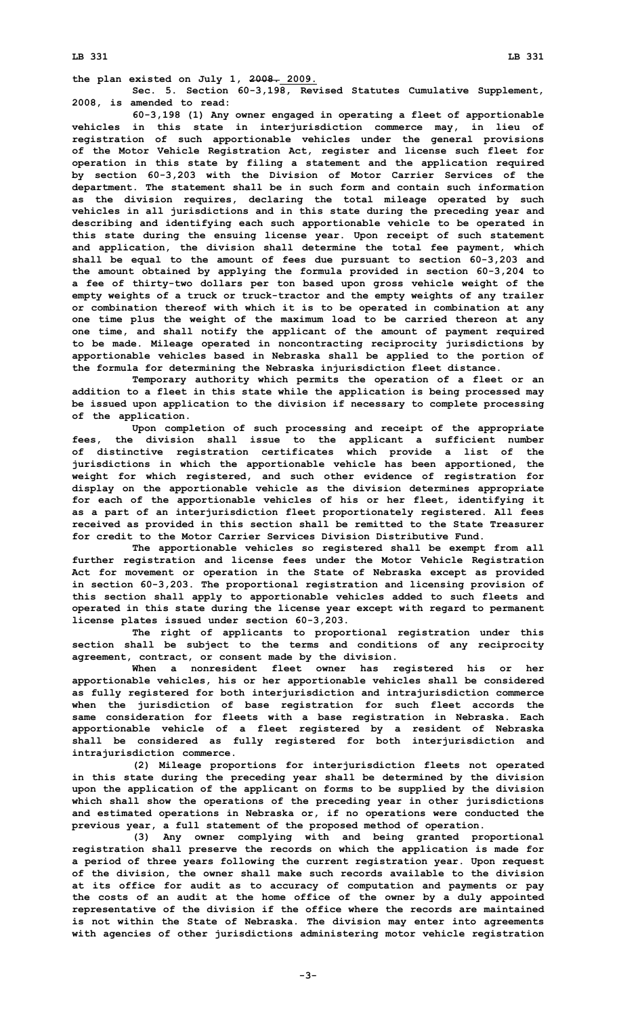**Sec. 5. Section 60-3,198, Revised Statutes Cumulative Supplement, 2008, is amended to read:**

**60-3,198 (1) Any owner engaged in operating <sup>a</sup> fleet of apportionable vehicles in this state in interjurisdiction commerce may, in lieu of registration of such apportionable vehicles under the general provisions of the Motor Vehicle Registration Act, register and license such fleet for operation in this state by filing <sup>a</sup> statement and the application required by section 60-3,203 with the Division of Motor Carrier Services of the department. The statement shall be in such form and contain such information as the division requires, declaring the total mileage operated by such vehicles in all jurisdictions and in this state during the preceding year and describing and identifying each such apportionable vehicle to be operated in this state during the ensuing license year. Upon receipt of such statement and application, the division shall determine the total fee payment, which shall be equal to the amount of fees due pursuant to section 60-3,203 and the amount obtained by applying the formula provided in section 60-3,204 to <sup>a</sup> fee of thirty-two dollars per ton based upon gross vehicle weight of the empty weights of <sup>a</sup> truck or truck-tractor and the empty weights of any trailer or combination thereof with which it is to be operated in combination at any one time plus the weight of the maximum load to be carried thereon at any one time, and shall notify the applicant of the amount of payment required to be made. Mileage operated in noncontracting reciprocity jurisdictions by apportionable vehicles based in Nebraska shall be applied to the portion of the formula for determining the Nebraska injurisdiction fleet distance.**

**Temporary authority which permits the operation of <sup>a</sup> fleet or an addition to <sup>a</sup> fleet in this state while the application is being processed may be issued upon application to the division if necessary to complete processing of the application.**

**Upon completion of such processing and receipt of the appropriate fees, the division shall issue to the applicant <sup>a</sup> sufficient number of distinctive registration certificates which provide <sup>a</sup> list of the jurisdictions in which the apportionable vehicle has been apportioned, the weight for which registered, and such other evidence of registration for display on the apportionable vehicle as the division determines appropriate for each of the apportionable vehicles of his or her fleet, identifying it as <sup>a</sup> part of an interjurisdiction fleet proportionately registered. All fees received as provided in this section shall be remitted to the State Treasurer for credit to the Motor Carrier Services Division Distributive Fund.**

**The apportionable vehicles so registered shall be exempt from all further registration and license fees under the Motor Vehicle Registration Act for movement or operation in the State of Nebraska except as provided in section 60-3,203. The proportional registration and licensing provision of this section shall apply to apportionable vehicles added to such fleets and operated in this state during the license year except with regard to permanent license plates issued under section 60-3,203.**

**The right of applicants to proportional registration under this section shall be subject to the terms and conditions of any reciprocity agreement, contract, or consent made by the division.**

**When <sup>a</sup> nonresident fleet owner has registered his or her apportionable vehicles, his or her apportionable vehicles shall be considered as fully registered for both interjurisdiction and intrajurisdiction commerce when the jurisdiction of base registration for such fleet accords the same consideration for fleets with <sup>a</sup> base registration in Nebraska. Each apportionable vehicle of <sup>a</sup> fleet registered by <sup>a</sup> resident of Nebraska shall be considered as fully registered for both interjurisdiction and intrajurisdiction commerce.**

**(2) Mileage proportions for interjurisdiction fleets not operated in this state during the preceding year shall be determined by the division upon the application of the applicant on forms to be supplied by the division which shall show the operations of the preceding year in other jurisdictions and estimated operations in Nebraska or, if no operations were conducted the previous year, <sup>a</sup> full statement of the proposed method of operation.**

**(3) Any owner complying with and being granted proportional registration shall preserve the records on which the application is made for <sup>a</sup> period of three years following the current registration year. Upon request of the division, the owner shall make such records available to the division at its office for audit as to accuracy of computation and payments or pay the costs of an audit at the home office of the owner by <sup>a</sup> duly appointed representative of the division if the office where the records are maintained is not within the State of Nebraska. The division may enter into agreements with agencies of other jurisdictions administering motor vehicle registration**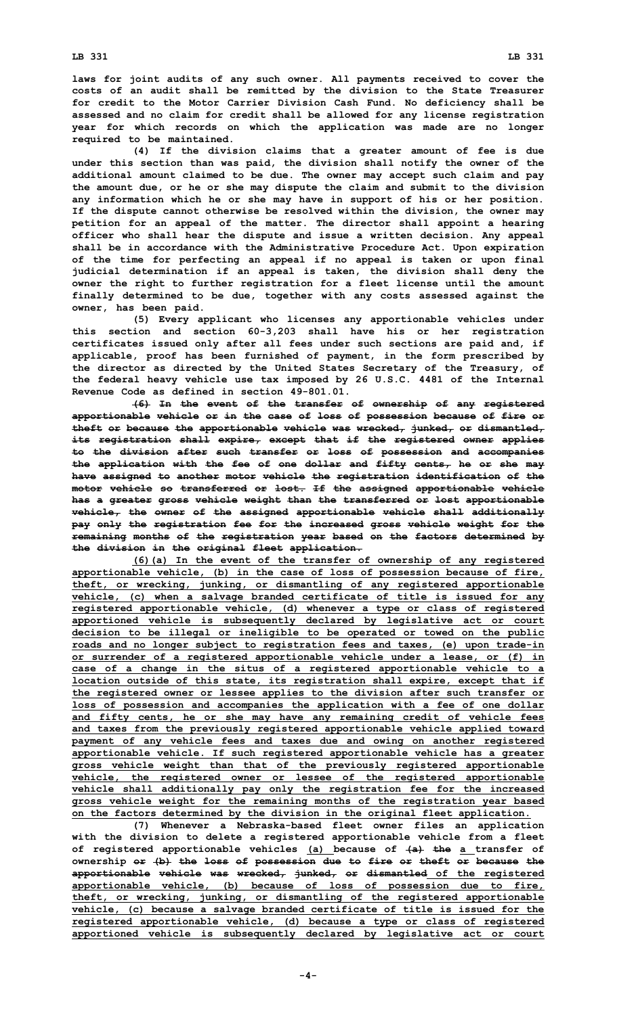**laws for joint audits of any such owner. All payments received to cover the costs of an audit shall be remitted by the division to the State Treasurer for credit to the Motor Carrier Division Cash Fund. No deficiency shall be assessed and no claim for credit shall be allowed for any license registration year for which records on which the application was made are no longer required to be maintained.**

**(4) If the division claims that <sup>a</sup> greater amount of fee is due under this section than was paid, the division shall notify the owner of the additional amount claimed to be due. The owner may accept such claim and pay the amount due, or he or she may dispute the claim and submit to the division any information which he or she may have in support of his or her position. If the dispute cannot otherwise be resolved within the division, the owner may petition for an appeal of the matter. The director shall appoint <sup>a</sup> hearing officer who shall hear the dispute and issue <sup>a</sup> written decision. Any appeal shall be in accordance with the Administrative Procedure Act. Upon expiration of the time for perfecting an appeal if no appeal is taken or upon final judicial determination if an appeal is taken, the division shall deny the owner the right to further registration for <sup>a</sup> fleet license until the amount finally determined to be due, together with any costs assessed against the owner, has been paid.**

**(5) Every applicant who licenses any apportionable vehicles under this section and section 60-3,203 shall have his or her registration certificates issued only after all fees under such sections are paid and, if applicable, proof has been furnished of payment, in the form prescribed by the director as directed by the United States Secretary of the Treasury, of the federal heavy vehicle use tax imposed by 26 U.S.C. 4481 of the Internal Revenue Code as defined in section 49-801.01.**

**(6) In the event of the transfer of ownership of any registered apportionable vehicle or in the case of loss of possession because of fire or theft or because the apportionable vehicle was wrecked, junked, or dismantled, its registration shall expire, except that if the registered owner applies to the division after such transfer or loss of possession and accompanies the application with the fee of one dollar and fifty cents, he or she may have assigned to another motor vehicle the registration identification of the motor vehicle so transferred or lost. If the assigned apportionable vehicle has <sup>a</sup> greater gross vehicle weight than the transferred or lost apportionable vehicle, the owner of the assigned apportionable vehicle shall additionally pay only the registration fee for the increased gross vehicle weight for the remaining months of the registration year based on the factors determined by the division in the original fleet application.**

**(6)(a) In the event of the transfer of ownership of any registered apportionable vehicle, (b) in the case of loss of possession because of fire, theft, or wrecking, junking, or dismantling of any registered apportionable vehicle, (c) when <sup>a</sup> salvage branded certificate of title is issued for any registered apportionable vehicle, (d) whenever <sup>a</sup> type or class of registered apportioned vehicle is subsequently declared by legislative act or court decision to be illegal or ineligible to be operated or towed on the public roads and no longer subject to registration fees and taxes, (e) upon trade-in or surrender of <sup>a</sup> registered apportionable vehicle under <sup>a</sup> lease, or (f) in case of <sup>a</sup> change in the situs of <sup>a</sup> registered apportionable vehicle to <sup>a</sup> location outside of this state, its registration shall expire, except that if the registered owner or lessee applies to the division after such transfer or loss of possession and accompanies the application with <sup>a</sup> fee of one dollar and fifty cents, he or she may have any remaining credit of vehicle fees and taxes from the previously registered apportionable vehicle applied toward payment of any vehicle fees and taxes due and owing on another registered apportionable vehicle. If such registered apportionable vehicle has <sup>a</sup> greater gross vehicle weight than that of the previously registered apportionable vehicle, the registered owner or lessee of the registered apportionable vehicle shall additionally pay only the registration fee for the increased gross vehicle weight for the remaining months of the registration year based on the factors determined by the division in the original fleet application.**

**(7) Whenever <sup>a</sup> Nebraska-based fleet owner files an application with the division to delete <sup>a</sup> registered apportionable vehicle from <sup>a</sup> fleet of registered apportionable vehicles (a) because of (a) the <sup>a</sup> transfer of ownership or (b) the loss of possession due to fire or theft or because the apportionable vehicle was wrecked, junked, or dismantled of the registered apportionable vehicle, (b) because of loss of possession due to fire, theft, or wrecking, junking, or dismantling of the registered apportionable vehicle, (c) because <sup>a</sup> salvage branded certificate of title is issued for the registered apportionable vehicle, (d) because <sup>a</sup> type or class of registered apportioned vehicle is subsequently declared by legislative act or court**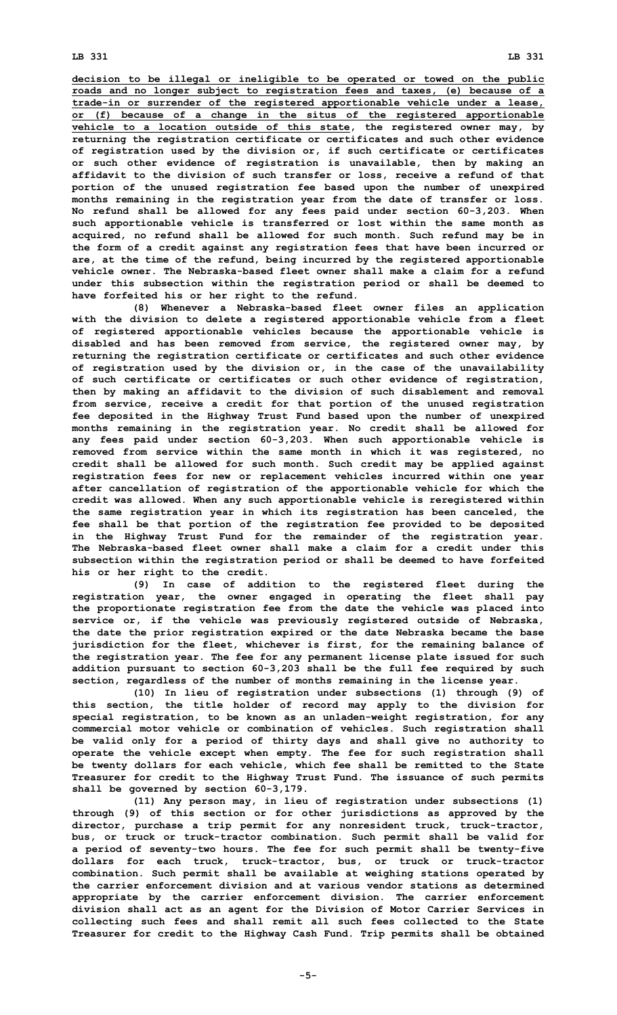**decision to be illegal or ineligible to be operated or towed on the public roads and no longer subject to registration fees and taxes, (e) because of <sup>a</sup> trade-in or surrender of the registered apportionable vehicle under <sup>a</sup> lease, or (f) because of <sup>a</sup> change in the situs of the registered apportionable vehicle to <sup>a</sup> location outside of this state, the registered owner may, by returning the registration certificate or certificates and such other evidence of registration used by the division or, if such certificate or certificates or such other evidence of registration is unavailable, then by making an affidavit to the division of such transfer or loss, receive <sup>a</sup> refund of that portion of the unused registration fee based upon the number of unexpired months remaining in the registration year from the date of transfer or loss. No refund shall be allowed for any fees paid under section 60-3,203. When such apportionable vehicle is transferred or lost within the same month as acquired, no refund shall be allowed for such month. Such refund may be in the form of <sup>a</sup> credit against any registration fees that have been incurred or are, at the time of the refund, being incurred by the registered apportionable vehicle owner. The Nebraska-based fleet owner shall make a claim for a refund under this subsection within the registration period or shall be deemed to have forfeited his or her right to the refund.**

**(8) Whenever <sup>a</sup> Nebraska-based fleet owner files an application with the division to delete <sup>a</sup> registered apportionable vehicle from <sup>a</sup> fleet of registered apportionable vehicles because the apportionable vehicle is disabled and has been removed from service, the registered owner may, by returning the registration certificate or certificates and such other evidence of registration used by the division or, in the case of the unavailability of such certificate or certificates or such other evidence of registration, then by making an affidavit to the division of such disablement and removal from service, receive <sup>a</sup> credit for that portion of the unused registration fee deposited in the Highway Trust Fund based upon the number of unexpired months remaining in the registration year. No credit shall be allowed for any fees paid under section 60-3,203. When such apportionable vehicle is removed from service within the same month in which it was registered, no credit shall be allowed for such month. Such credit may be applied against registration fees for new or replacement vehicles incurred within one year after cancellation of registration of the apportionable vehicle for which the credit was allowed. When any such apportionable vehicle is reregistered within the same registration year in which its registration has been canceled, the fee shall be that portion of the registration fee provided to be deposited in the Highway Trust Fund for the remainder of the registration year. The Nebraska-based fleet owner shall make a claim for a credit under this subsection within the registration period or shall be deemed to have forfeited his or her right to the credit.**

**(9) In case of addition to the registered fleet during the registration year, the owner engaged in operating the fleet shall pay the proportionate registration fee from the date the vehicle was placed into service or, if the vehicle was previously registered outside of Nebraska, the date the prior registration expired or the date Nebraska became the base jurisdiction for the fleet, whichever is first, for the remaining balance of the registration year. The fee for any permanent license plate issued for such addition pursuant to section 60-3,203 shall be the full fee required by such section, regardless of the number of months remaining in the license year.**

**(10) In lieu of registration under subsections (1) through (9) of this section, the title holder of record may apply to the division for special registration, to be known as an unladen-weight registration, for any commercial motor vehicle or combination of vehicles. Such registration shall be valid only for <sup>a</sup> period of thirty days and shall give no authority to operate the vehicle except when empty. The fee for such registration shall be twenty dollars for each vehicle, which fee shall be remitted to the State Treasurer for credit to the Highway Trust Fund. The issuance of such permits shall be governed by section 60-3,179.**

**(11) Any person may, in lieu of registration under subsections (1) through (9) of this section or for other jurisdictions as approved by the director, purchase <sup>a</sup> trip permit for any nonresident truck, truck-tractor, bus, or truck or truck-tractor combination. Such permit shall be valid for <sup>a</sup> period of seventy-two hours. The fee for such permit shall be twenty-five dollars for each truck, truck-tractor, bus, or truck or truck-tractor combination. Such permit shall be available at weighing stations operated by the carrier enforcement division and at various vendor stations as determined appropriate by the carrier enforcement division. The carrier enforcement division shall act as an agent for the Division of Motor Carrier Services in collecting such fees and shall remit all such fees collected to the State Treasurer for credit to the Highway Cash Fund. Trip permits shall be obtained**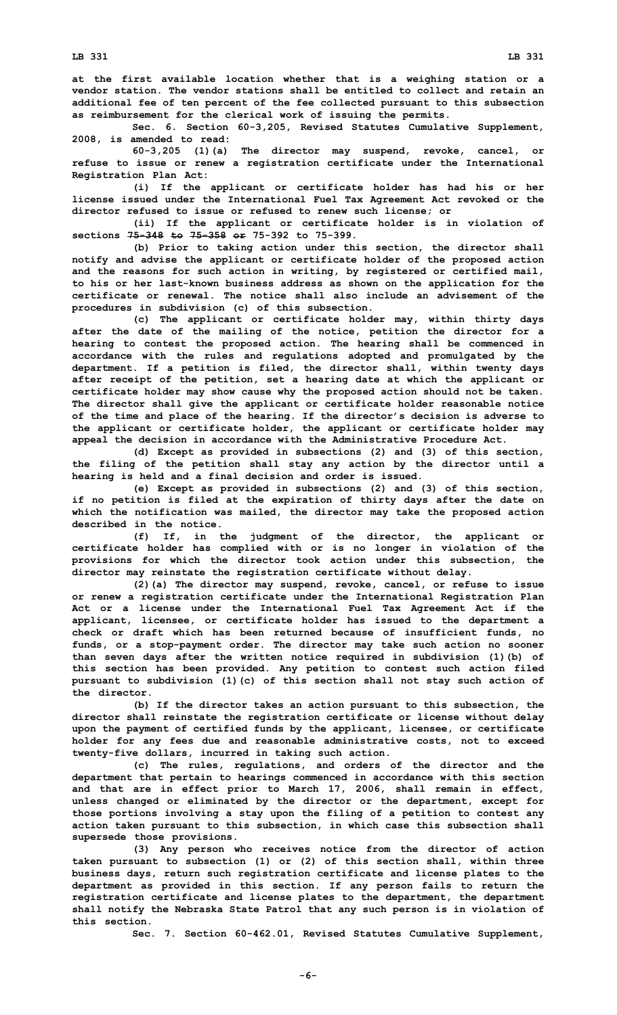**Sec. 6. Section 60-3,205, Revised Statutes Cumulative Supplement, 2008, is amended to read:**

**60-3,205 (1)(a) The director may suspend, revoke, cancel, or refuse to issue or renew <sup>a</sup> registration certificate under the International Registration Plan Act:**

**(i) If the applicant or certificate holder has had his or her license issued under the International Fuel Tax Agreement Act revoked or the director refused to issue or refused to renew such license; or**

**(ii) If the applicant or certificate holder is in violation of sections 75-348 to 75-358 or 75-392 to 75-399.**

**(b) Prior to taking action under this section, the director shall notify and advise the applicant or certificate holder of the proposed action and the reasons for such action in writing, by registered or certified mail, to his or her last-known business address as shown on the application for the certificate or renewal. The notice shall also include an advisement of the procedures in subdivision (c) of this subsection.**

**(c) The applicant or certificate holder may, within thirty days after the date of the mailing of the notice, petition the director for <sup>a</sup> hearing to contest the proposed action. The hearing shall be commenced in accordance with the rules and regulations adopted and promulgated by the department. If <sup>a</sup> petition is filed, the director shall, within twenty days after receipt of the petition, set <sup>a</sup> hearing date at which the applicant or certificate holder may show cause why the proposed action should not be taken. The director shall give the applicant or certificate holder reasonable notice of the time and place of the hearing. If the director's decision is adverse to the applicant or certificate holder, the applicant or certificate holder may appeal the decision in accordance with the Administrative Procedure Act.**

**(d) Except as provided in subsections (2) and (3) of this section, the filing of the petition shall stay any action by the director until <sup>a</sup> hearing is held and <sup>a</sup> final decision and order is issued.**

**(e) Except as provided in subsections (2) and (3) of this section, if no petition is filed at the expiration of thirty days after the date on which the notification was mailed, the director may take the proposed action described in the notice.**

**(f) If, in the judgment of the director, the applicant or certificate holder has complied with or is no longer in violation of the provisions for which the director took action under this subsection, the director may reinstate the registration certificate without delay.**

**(2)(a) The director may suspend, revoke, cancel, or refuse to issue or renew <sup>a</sup> registration certificate under the International Registration Plan Act or <sup>a</sup> license under the International Fuel Tax Agreement Act if the applicant, licensee, or certificate holder has issued to the department <sup>a</sup> check or draft which has been returned because of insufficient funds, no funds, or <sup>a</sup> stop-payment order. The director may take such action no sooner than seven days after the written notice required in subdivision (1)(b) of this section has been provided. Any petition to contest such action filed pursuant to subdivision (1)(c) of this section shall not stay such action of the director.**

**(b) If the director takes an action pursuant to this subsection, the director shall reinstate the registration certificate or license without delay upon the payment of certified funds by the applicant, licensee, or certificate holder for any fees due and reasonable administrative costs, not to exceed twenty-five dollars, incurred in taking such action.**

**(c) The rules, regulations, and orders of the director and the department that pertain to hearings commenced in accordance with this section and that are in effect prior to March 17, 2006, shall remain in effect, unless changed or eliminated by the director or the department, except for those portions involving <sup>a</sup> stay upon the filing of <sup>a</sup> petition to contest any action taken pursuant to this subsection, in which case this subsection shall supersede those provisions.**

**(3) Any person who receives notice from the director of action taken pursuant to subsection (1) or (2) of this section shall, within three business days, return such registration certificate and license plates to the department as provided in this section. If any person fails to return the registration certificate and license plates to the department, the department shall notify the Nebraska State Patrol that any such person is in violation of this section.**

**Sec. 7. Section 60-462.01, Revised Statutes Cumulative Supplement,**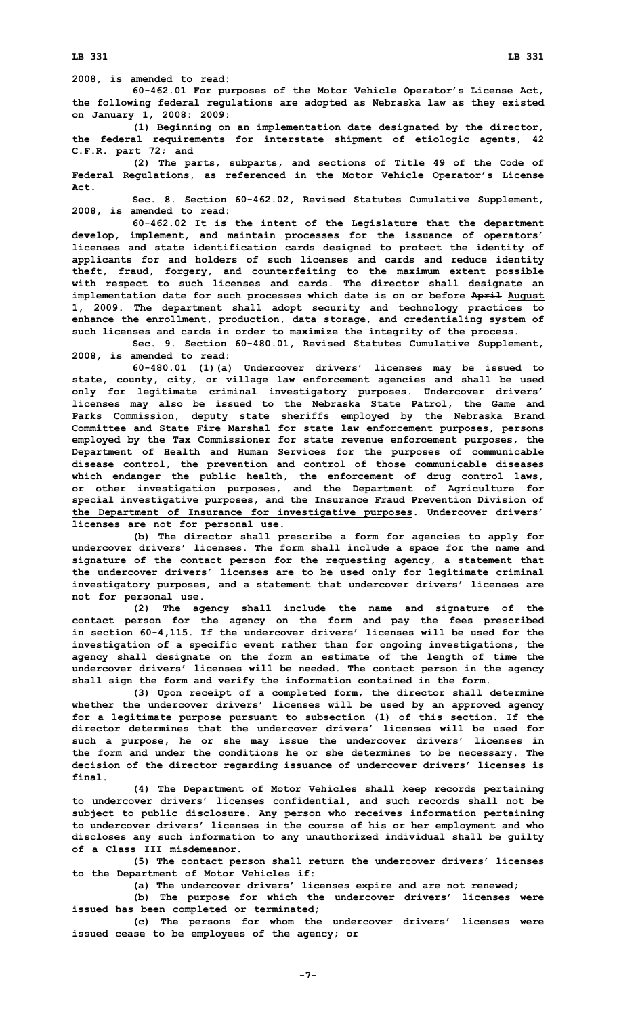**2008, is amended to read:**

**60-462.01 For purposes of the Motor Vehicle Operator's License Act, the following federal regulations are adopted as Nebraska law as they existed on January 1, 2008: 2009:**

**(1) Beginning on an implementation date designated by the director, the federal requirements for interstate shipment of etiologic agents, 42 C.F.R. part 72; and**

**(2) The parts, subparts, and sections of Title 49 of the Code of Federal Regulations, as referenced in the Motor Vehicle Operator's License Act.**

**Sec. 8. Section 60-462.02, Revised Statutes Cumulative Supplement, 2008, is amended to read:**

**60-462.02 It is the intent of the Legislature that the department develop, implement, and maintain processes for the issuance of operators' licenses and state identification cards designed to protect the identity of applicants for and holders of such licenses and cards and reduce identity theft, fraud, forgery, and counterfeiting to the maximum extent possible with respect to such licenses and cards. The director shall designate an implementation date for such processes which date is on or before April August 1, 2009. The department shall adopt security and technology practices to enhance the enrollment, production, data storage, and credentialing system of such licenses and cards in order to maximize the integrity of the process.**

**Sec. 9. Section 60-480.01, Revised Statutes Cumulative Supplement, 2008, is amended to read:**

**60-480.01 (1)(a) Undercover drivers' licenses may be issued to state, county, city, or village law enforcement agencies and shall be used only for legitimate criminal investigatory purposes. Undercover drivers' licenses may also be issued to the Nebraska State Patrol, the Game and Parks Commission, deputy state sheriffs employed by the Nebraska Brand Committee and State Fire Marshal for state law enforcement purposes, persons employed by the Tax Commissioner for state revenue enforcement purposes, the Department of Health and Human Services for the purposes of communicable disease control, the prevention and control of those communicable diseases which endanger the public health, the enforcement of drug control laws, or other investigation purposes, and the Department of Agriculture for special investigative purposes, and the Insurance Fraud Prevention Division of the Department of Insurance for investigative purposes. Undercover drivers' licenses are not for personal use.**

**(b) The director shall prescribe <sup>a</sup> form for agencies to apply for undercover drivers' licenses. The form shall include <sup>a</sup> space for the name and signature of the contact person for the requesting agency, <sup>a</sup> statement that the undercover drivers' licenses are to be used only for legitimate criminal investigatory purposes, and <sup>a</sup> statement that undercover drivers' licenses are not for personal use.**

**(2) The agency shall include the name and signature of the contact person for the agency on the form and pay the fees prescribed in section 60-4,115. If the undercover drivers' licenses will be used for the investigation of <sup>a</sup> specific event rather than for ongoing investigations, the agency shall designate on the form an estimate of the length of time the undercover drivers' licenses will be needed. The contact person in the agency shall sign the form and verify the information contained in the form.**

**(3) Upon receipt of <sup>a</sup> completed form, the director shall determine whether the undercover drivers' licenses will be used by an approved agency for <sup>a</sup> legitimate purpose pursuant to subsection (1) of this section. If the director determines that the undercover drivers' licenses will be used for such <sup>a</sup> purpose, he or she may issue the undercover drivers' licenses in the form and under the conditions he or she determines to be necessary. The decision of the director regarding issuance of undercover drivers' licenses is final.**

**(4) The Department of Motor Vehicles shall keep records pertaining to undercover drivers' licenses confidential, and such records shall not be subject to public disclosure. Any person who receives information pertaining to undercover drivers' licenses in the course of his or her employment and who discloses any such information to any unauthorized individual shall be guilty of a Class III misdemeanor.**

**(5) The contact person shall return the undercover drivers' licenses to the Department of Motor Vehicles if:**

**(a) The undercover drivers' licenses expire and are not renewed;**

**(b) The purpose for which the undercover drivers' licenses were issued has been completed or terminated;**

**(c) The persons for whom the undercover drivers' licenses were issued cease to be employees of the agency; or**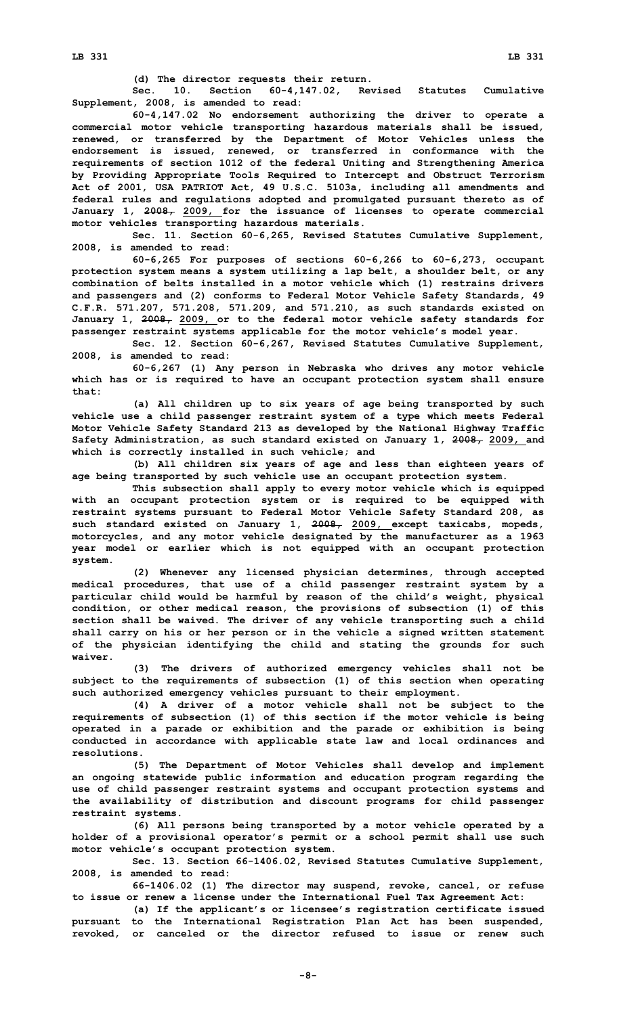**(d) The director requests their return.**

**Sec. 10. Section 60-4,147.02, Revised Statutes Cumulative Supplement, 2008, is amended to read:**

**60-4,147.02 No endorsement authorizing the driver to operate <sup>a</sup> commercial motor vehicle transporting hazardous materials shall be issued, renewed, or transferred by the Department of Motor Vehicles unless the endorsement is issued, renewed, or transferred in conformance with the requirements of section 1012 of the federal Uniting and Strengthening America by Providing Appropriate Tools Required to Intercept and Obstruct Terrorism Act of 2001, USA PATRIOT Act, 49 U.S.C. 5103a, including all amendments and federal rules and regulations adopted and promulgated pursuant thereto as of January 1, 2008, 2009, for the issuance of licenses to operate commercial motor vehicles transporting hazardous materials.**

**Sec. 11. Section 60-6,265, Revised Statutes Cumulative Supplement, 2008, is amended to read:**

**60-6,265 For purposes of sections 60-6,266 to 60-6,273, occupant protection system means <sup>a</sup> system utilizing <sup>a</sup> lap belt, <sup>a</sup> shoulder belt, or any combination of belts installed in <sup>a</sup> motor vehicle which (1) restrains drivers and passengers and (2) conforms to Federal Motor Vehicle Safety Standards, 49 C.F.R. 571.207, 571.208, 571.209, and 571.210, as such standards existed on January 1, 2008, 2009, or to the federal motor vehicle safety standards for passenger restraint systems applicable for the motor vehicle's model year.**

**Sec. 12. Section 60-6,267, Revised Statutes Cumulative Supplement, 2008, is amended to read:**

**60-6,267 (1) Any person in Nebraska who drives any motor vehicle which has or is required to have an occupant protection system shall ensure that:**

**(a) All children up to six years of age being transported by such vehicle use <sup>a</sup> child passenger restraint system of <sup>a</sup> type which meets Federal Motor Vehicle Safety Standard 213 as developed by the National Highway Traffic Safety Administration, as such standard existed on January 1, 2008, 2009, and which is correctly installed in such vehicle; and**

**(b) All children six years of age and less than eighteen years of age being transported by such vehicle use an occupant protection system.**

**This subsection shall apply to every motor vehicle which is equipped with an occupant protection system or is required to be equipped with restraint systems pursuant to Federal Motor Vehicle Safety Standard 208, as such standard existed on January 1, 2008, 2009, except taxicabs, mopeds, motorcycles, and any motor vehicle designated by the manufacturer as <sup>a</sup> 1963 year model or earlier which is not equipped with an occupant protection system.**

**(2) Whenever any licensed physician determines, through accepted medical procedures, that use of <sup>a</sup> child passenger restraint system by <sup>a</sup> particular child would be harmful by reason of the child's weight, physical condition, or other medical reason, the provisions of subsection (1) of this section shall be waived. The driver of any vehicle transporting such <sup>a</sup> child shall carry on his or her person or in the vehicle <sup>a</sup> signed written statement of the physician identifying the child and stating the grounds for such waiver.**

**(3) The drivers of authorized emergency vehicles shall not be subject to the requirements of subsection (1) of this section when operating such authorized emergency vehicles pursuant to their employment.**

**(4) <sup>A</sup> driver of <sup>a</sup> motor vehicle shall not be subject to the requirements of subsection (1) of this section if the motor vehicle is being operated in <sup>a</sup> parade or exhibition and the parade or exhibition is being conducted in accordance with applicable state law and local ordinances and resolutions.**

**(5) The Department of Motor Vehicles shall develop and implement an ongoing statewide public information and education program regarding the use of child passenger restraint systems and occupant protection systems and the availability of distribution and discount programs for child passenger restraint systems.**

**(6) All persons being transported by <sup>a</sup> motor vehicle operated by <sup>a</sup> holder of <sup>a</sup> provisional operator's permit or <sup>a</sup> school permit shall use such motor vehicle's occupant protection system.**

**Sec. 13. Section 66-1406.02, Revised Statutes Cumulative Supplement, 2008, is amended to read:**

**66-1406.02 (1) The director may suspend, revoke, cancel, or refuse to issue or renew <sup>a</sup> license under the International Fuel Tax Agreement Act:**

**(a) If the applicant's or licensee's registration certificate issued pursuant to the International Registration Plan Act has been suspended, revoked, or canceled or the director refused to issue or renew such**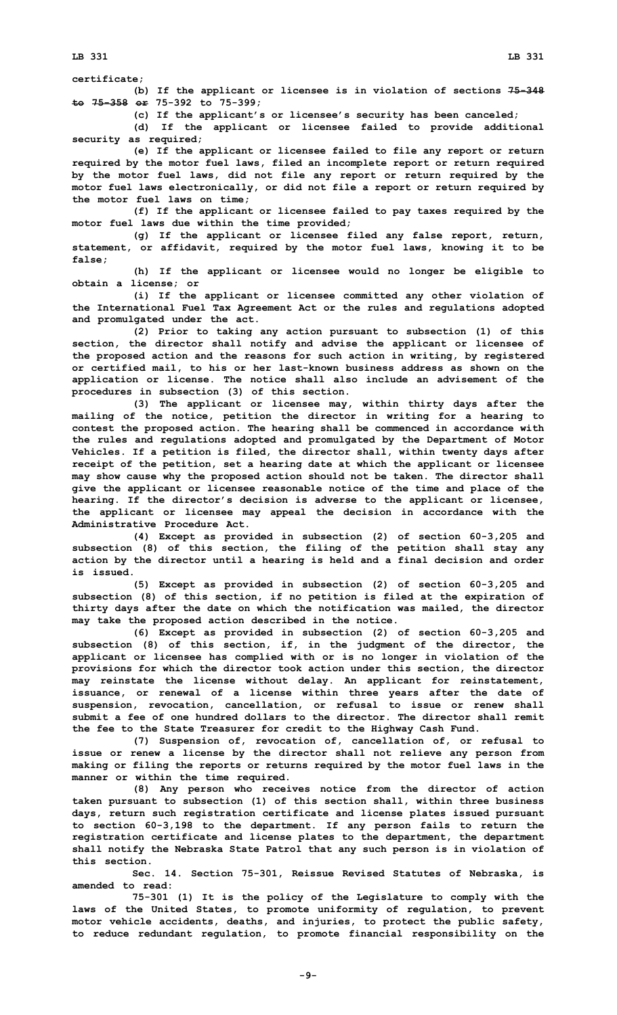**certificate;**

**(b) If the applicant or licensee is in violation of sections 75-348 to 75-358 or 75-392 to 75-399;**

**(c) If the applicant's or licensee's security has been canceled;**

**(d) If the applicant or licensee failed to provide additional security as required;**

**(e) If the applicant or licensee failed to file any report or return required by the motor fuel laws, filed an incomplete report or return required by the motor fuel laws, did not file any report or return required by the motor fuel laws electronically, or did not file <sup>a</sup> report or return required by the motor fuel laws on time;**

**(f) If the applicant or licensee failed to pay taxes required by the motor fuel laws due within the time provided;**

**(g) If the applicant or licensee filed any false report, return, statement, or affidavit, required by the motor fuel laws, knowing it to be false;**

**(h) If the applicant or licensee would no longer be eligible to obtain <sup>a</sup> license; or**

**(i) If the applicant or licensee committed any other violation of the International Fuel Tax Agreement Act or the rules and regulations adopted and promulgated under the act.**

**(2) Prior to taking any action pursuant to subsection (1) of this section, the director shall notify and advise the applicant or licensee of the proposed action and the reasons for such action in writing, by registered or certified mail, to his or her last-known business address as shown on the application or license. The notice shall also include an advisement of the procedures in subsection (3) of this section.**

**(3) The applicant or licensee may, within thirty days after the mailing of the notice, petition the director in writing for <sup>a</sup> hearing to contest the proposed action. The hearing shall be commenced in accordance with the rules and regulations adopted and promulgated by the Department of Motor Vehicles. If <sup>a</sup> petition is filed, the director shall, within twenty days after receipt of the petition, set <sup>a</sup> hearing date at which the applicant or licensee may show cause why the proposed action should not be taken. The director shall give the applicant or licensee reasonable notice of the time and place of the hearing. If the director's decision is adverse to the applicant or licensee, the applicant or licensee may appeal the decision in accordance with the Administrative Procedure Act.**

**(4) Except as provided in subsection (2) of section 60-3,205 and subsection (8) of this section, the filing of the petition shall stay any action by the director until <sup>a</sup> hearing is held and <sup>a</sup> final decision and order is issued.**

**(5) Except as provided in subsection (2) of section 60-3,205 and subsection (8) of this section, if no petition is filed at the expiration of thirty days after the date on which the notification was mailed, the director may take the proposed action described in the notice.**

**(6) Except as provided in subsection (2) of section 60-3,205 and subsection (8) of this section, if, in the judgment of the director, the applicant or licensee has complied with or is no longer in violation of the provisions for which the director took action under this section, the director may reinstate the license without delay. An applicant for reinstatement, issuance, or renewal of <sup>a</sup> license within three years after the date of suspension, revocation, cancellation, or refusal to issue or renew shall submit a fee of one hundred dollars to the director. The director shall remit the fee to the State Treasurer for credit to the Highway Cash Fund.**

**(7) Suspension of, revocation of, cancellation of, or refusal to issue or renew <sup>a</sup> license by the director shall not relieve any person from making or filing the reports or returns required by the motor fuel laws in the manner or within the time required.**

**(8) Any person who receives notice from the director of action taken pursuant to subsection (1) of this section shall, within three business days, return such registration certificate and license plates issued pursuant to section 60-3,198 to the department. If any person fails to return the registration certificate and license plates to the department, the department shall notify the Nebraska State Patrol that any such person is in violation of this section.**

**Sec. 14. Section 75-301, Reissue Revised Statutes of Nebraska, is amended to read:**

**75-301 (1) It is the policy of the Legislature to comply with the laws of the United States, to promote uniformity of regulation, to prevent motor vehicle accidents, deaths, and injuries, to protect the public safety, to reduce redundant regulation, to promote financial responsibility on the**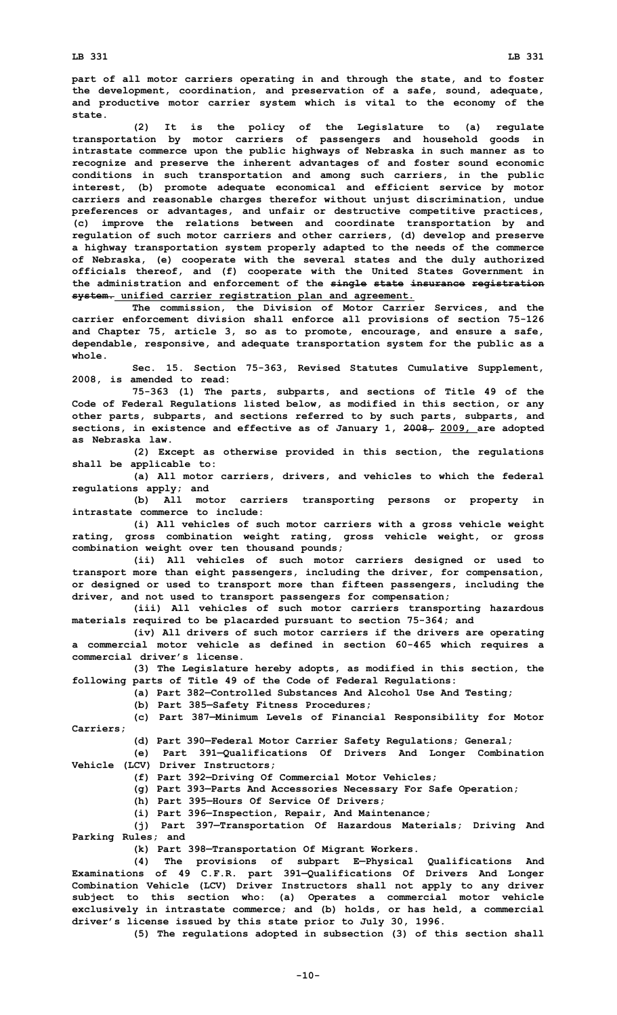**part of all motor carriers operating in and through the state, and to foster the development, coordination, and preservation of <sup>a</sup> safe, sound, adequate, and productive motor carrier system which is vital to the economy of the state.**

**(2) It is the policy of the Legislature to (a) regulate transportation by motor carriers of passengers and household goods in intrastate commerce upon the public highways of Nebraska in such manner as to recognize and preserve the inherent advantages of and foster sound economic conditions in such transportation and among such carriers, in the public interest, (b) promote adequate economical and efficient service by motor carriers and reasonable charges therefor without unjust discrimination, undue preferences or advantages, and unfair or destructive competitive practices, (c) improve the relations between and coordinate transportation by and regulation of such motor carriers and other carriers, (d) develop and preserve <sup>a</sup> highway transportation system properly adapted to the needs of the commerce of Nebraska, (e) cooperate with the several states and the duly authorized officials thereof, and (f) cooperate with the United States Government in the administration and enforcement of the single state insurance registration system. unified carrier registration plan and agreement.**

**The commission, the Division of Motor Carrier Services, and the carrier enforcement division shall enforce all provisions of section 75-126 and Chapter 75, article 3, so as to promote, encourage, and ensure <sup>a</sup> safe, dependable, responsive, and adequate transportation system for the public as <sup>a</sup> whole.**

**Sec. 15. Section 75-363, Revised Statutes Cumulative Supplement, 2008, is amended to read:**

**75-363 (1) The parts, subparts, and sections of Title 49 of the Code of Federal Regulations listed below, as modified in this section, or any other parts, subparts, and sections referred to by such parts, subparts, and sections, in existence and effective as of January 1, 2008, 2009, are adopted as Nebraska law.**

**(2) Except as otherwise provided in this section, the regulations shall be applicable to:**

**(a) All motor carriers, drivers, and vehicles to which the federal regulations apply; and**

**(b) All motor carriers transporting persons or property in intrastate commerce to include:**

**(i) All vehicles of such motor carriers with <sup>a</sup> gross vehicle weight rating, gross combination weight rating, gross vehicle weight, or gross combination weight over ten thousand pounds;**

**(ii) All vehicles of such motor carriers designed or used to transport more than eight passengers, including the driver, for compensation, or designed or used to transport more than fifteen passengers, including the driver, and not used to transport passengers for compensation;**

**(iii) All vehicles of such motor carriers transporting hazardous materials required to be placarded pursuant to section 75-364; and**

**(iv) All drivers of such motor carriers if the drivers are operating <sup>a</sup> commercial motor vehicle as defined in section 60-465 which requires <sup>a</sup> commercial driver's license.**

**(3) The Legislature hereby adopts, as modified in this section, the following parts of Title 49 of the Code of Federal Regulations:**

**(a) Part 382—Controlled Substances And Alcohol Use And Testing;**

**(b) Part 385—Safety Fitness Procedures;**

**(c) Part 387—Minimum Levels of Financial Responsibility for Motor Carriers;**

**(d) Part 390—Federal Motor Carrier Safety Regulations; General;**

**(e) Part 391—Qualifications Of Drivers And Longer Combination Vehicle (LCV) Driver Instructors;**

**(f) Part 392—Driving Of Commercial Motor Vehicles;**

**(g) Part 393—Parts And Accessories Necessary For Safe Operation;**

**(h) Part 395—Hours Of Service Of Drivers;**

**(i) Part 396—Inspection, Repair, And Maintenance;**

**(j) Part 397—Transportation Of Hazardous Materials; Driving And Parking Rules; and**

**(k) Part 398—Transportation Of Migrant Workers.**

**(4) The provisions of subpart E—Physical Qualifications And Examinations of 49 C.F.R. part 391—Qualifications Of Drivers And Longer Combination Vehicle (LCV) Driver Instructors shall not apply to any driver subject to this section who: (a) Operates <sup>a</sup> commercial motor vehicle exclusively in intrastate commerce; and (b) holds, or has held, <sup>a</sup> commercial driver's license issued by this state prior to July 30, 1996.**

**(5) The regulations adopted in subsection (3) of this section shall**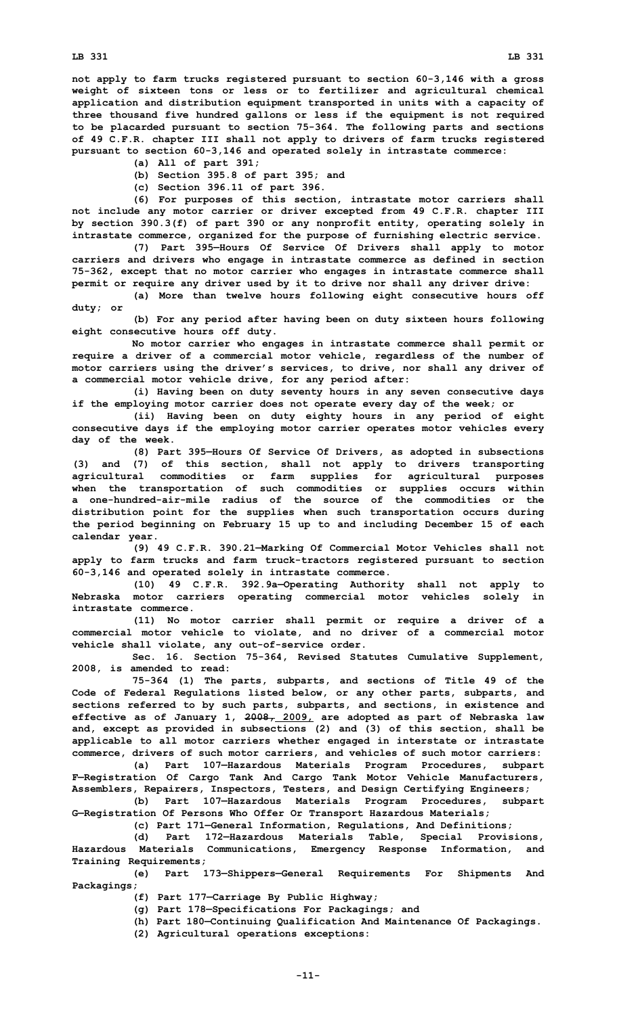**of 49 C.F.R. chapter III shall not apply to drivers of farm trucks registered pursuant to section 60-3,146 and operated solely in intrastate commerce:**

- **(a) All of part 391;**
- **(b) Section 395.8 of part 395; and**
- **(c) Section 396.11 of part 396.**

**(6) For purposes of this section, intrastate motor carriers shall not include any motor carrier or driver excepted from 49 C.F.R. chapter III by section 390.3(f) of part 390 or any nonprofit entity, operating solely in intrastate commerce, organized for the purpose of furnishing electric service.**

**(7) Part 395—Hours Of Service Of Drivers shall apply to motor carriers and drivers who engage in intrastate commerce as defined in section 75-362, except that no motor carrier who engages in intrastate commerce shall permit or require any driver used by it to drive nor shall any driver drive:**

**(a) More than twelve hours following eight consecutive hours off duty; or**

**(b) For any period after having been on duty sixteen hours following eight consecutive hours off duty.**

**No motor carrier who engages in intrastate commerce shall permit or require <sup>a</sup> driver of <sup>a</sup> commercial motor vehicle, regardless of the number of motor carriers using the driver's services, to drive, nor shall any driver of <sup>a</sup> commercial motor vehicle drive, for any period after:**

**(i) Having been on duty seventy hours in any seven consecutive days if the employing motor carrier does not operate every day of the week; or**

**(ii) Having been on duty eighty hours in any period of eight consecutive days if the employing motor carrier operates motor vehicles every day of the week.**

**(8) Part 395—Hours Of Service Of Drivers, as adopted in subsections (3) and (7) of this section, shall not apply to drivers transporting agricultural commodities or farm supplies for agricultural purposes when the transportation of such commodities or supplies occurs within a one-hundred-air-mile radius of the source of the commodities or the distribution point for the supplies when such transportation occurs during the period beginning on February 15 up to and including December 15 of each calendar year.**

**(9) 49 C.F.R. 390.21—Marking Of Commercial Motor Vehicles shall not apply to farm trucks and farm truck-tractors registered pursuant to section 60-3,146 and operated solely in intrastate commerce.**

**(10) 49 C.F.R. 392.9a—Operating Authority shall not apply to Nebraska motor carriers operating commercial motor vehicles solely in intrastate commerce.**

**(11) No motor carrier shall permit or require <sup>a</sup> driver of <sup>a</sup> commercial motor vehicle to violate, and no driver of <sup>a</sup> commercial motor vehicle shall violate, any out-of-service order.**

**Sec. 16. Section 75-364, Revised Statutes Cumulative Supplement, 2008, is amended to read:**

**75-364 (1) The parts, subparts, and sections of Title 49 of the Code of Federal Regulations listed below, or any other parts, subparts, and sections referred to by such parts, subparts, and sections, in existence and effective as of January 1, 2008, 2009, are adopted as part of Nebraska law and, except as provided in subsections (2) and (3) of this section, shall be applicable to all motor carriers whether engaged in interstate or intrastate commerce, drivers of such motor carriers, and vehicles of such motor carriers:**

**(a) Part 107—Hazardous Materials Program Procedures, subpart F—Registration Of Cargo Tank And Cargo Tank Motor Vehicle Manufacturers, Assemblers, Repairers, Inspectors, Testers, and Design Certifying Engineers;**

**(b) Part 107—Hazardous Materials Program Procedures, subpart G—Registration Of Persons Who Offer Or Transport Hazardous Materials;**

**(c) Part 171—General Information, Regulations, And Definitions;**

**(d) Part 172—Hazardous Materials Table, Special Provisions, Hazardous Materials Communications, Emergency Response Information, and Training Requirements;**

**(e) Part 173—Shippers—General Requirements For Shipments And Packagings;**

**(f) Part 177—Carriage By Public Highway;**

**(g) Part 178—Specifications For Packagings; and**

**(h) Part 180—Continuing Qualification And Maintenance Of Packagings.**

**(2) Agricultural operations exceptions:**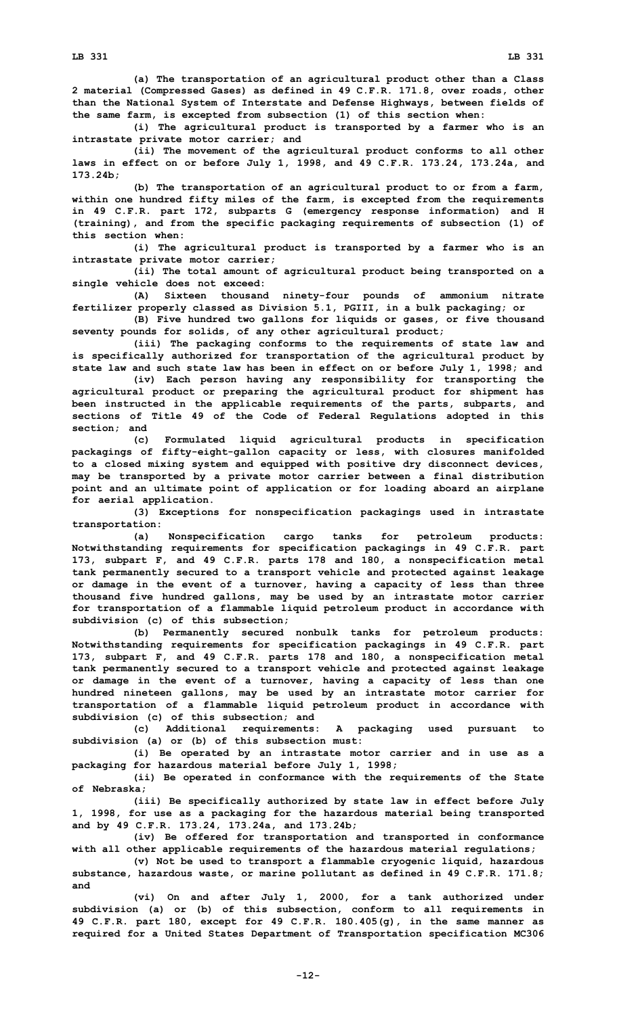**(a) The transportation of an agricultural product other than <sup>a</sup> Class 2 material (Compressed Gases) as defined in 49 C.F.R. 171.8, over roads, other than the National System of Interstate and Defense Highways, between fields of the same farm, is excepted from subsection (1) of this section when:**

**(i) The agricultural product is transported by <sup>a</sup> farmer who is an intrastate private motor carrier; and**

**(ii) The movement of the agricultural product conforms to all other laws in effect on or before July 1, 1998, and 49 C.F.R. 173.24, 173.24a, and 173.24b;**

**(b) The transportation of an agricultural product to or from <sup>a</sup> farm, within one hundred fifty miles of the farm, is excepted from the requirements in 49 C.F.R. part 172, subparts G (emergency response information) and <sup>H</sup> (training), and from the specific packaging requirements of subsection (1) of this section when:**

**(i) The agricultural product is transported by <sup>a</sup> farmer who is an intrastate private motor carrier;**

**(ii) The total amount of agricultural product being transported on <sup>a</sup> single vehicle does not exceed:**

**(A) Sixteen thousand ninety-four pounds of ammonium nitrate fertilizer properly classed as Division 5.1, PGIII, in <sup>a</sup> bulk packaging; or**

**(B) Five hundred two gallons for liquids or gases, or five thousand seventy pounds for solids, of any other agricultural product;**

**(iii) The packaging conforms to the requirements of state law and is specifically authorized for transportation of the agricultural product by state law and such state law has been in effect on or before July 1, 1998; and**

**(iv) Each person having any responsibility for transporting the agricultural product or preparing the agricultural product for shipment has been instructed in the applicable requirements of the parts, subparts, and sections of Title 49 of the Code of Federal Regulations adopted in this section; and**

**(c) Formulated liquid agricultural products in specification packagings of fifty-eight-gallon capacity or less, with closures manifolded to <sup>a</sup> closed mixing system and equipped with positive dry disconnect devices, may be transported by <sup>a</sup> private motor carrier between <sup>a</sup> final distribution point and an ultimate point of application or for loading aboard an airplane for aerial application.**

**(3) Exceptions for nonspecification packagings used in intrastate transportation:**

**(a) Nonspecification cargo tanks for petroleum products: Notwithstanding requirements for specification packagings in 49 C.F.R. part 173, subpart F, and 49 C.F.R. parts 178 and 180, <sup>a</sup> nonspecification metal tank permanently secured to <sup>a</sup> transport vehicle and protected against leakage or damage in the event of <sup>a</sup> turnover, having <sup>a</sup> capacity of less than three thousand five hundred gallons, may be used by an intrastate motor carrier for transportation of <sup>a</sup> flammable liquid petroleum product in accordance with subdivision (c) of this subsection;**

**(b) Permanently secured nonbulk tanks for petroleum products: Notwithstanding requirements for specification packagings in 49 C.F.R. part 173, subpart F, and 49 C.F.R. parts 178 and 180, <sup>a</sup> nonspecification metal tank permanently secured to <sup>a</sup> transport vehicle and protected against leakage or damage in the event of <sup>a</sup> turnover, having <sup>a</sup> capacity of less than one hundred nineteen gallons, may be used by an intrastate motor carrier for transportation of <sup>a</sup> flammable liquid petroleum product in accordance with subdivision (c) of this subsection; and**

**(c) Additional requirements: <sup>A</sup> packaging used pursuant to subdivision (a) or (b) of this subsection must:**

**(i) Be operated by an intrastate motor carrier and in use as <sup>a</sup> packaging for hazardous material before July 1, 1998;**

**(ii) Be operated in conformance with the requirements of the State of Nebraska;**

**(iii) Be specifically authorized by state law in effect before July 1, 1998, for use as <sup>a</sup> packaging for the hazardous material being transported and by 49 C.F.R. 173.24, 173.24a, and 173.24b;**

**(iv) Be offered for transportation and transported in conformance with all other applicable requirements of the hazardous material regulations;**

**(v) Not be used to transport <sup>a</sup> flammable cryogenic liquid, hazardous substance, hazardous waste, or marine pollutant as defined in 49 C.F.R. 171.8; and**

**(vi) On and after July 1, 2000, for <sup>a</sup> tank authorized under subdivision (a) or (b) of this subsection, conform to all requirements in 49 C.F.R. part 180, except for 49 C.F.R. 180.405(g), in the same manner as required for <sup>a</sup> United States Department of Transportation specification MC306**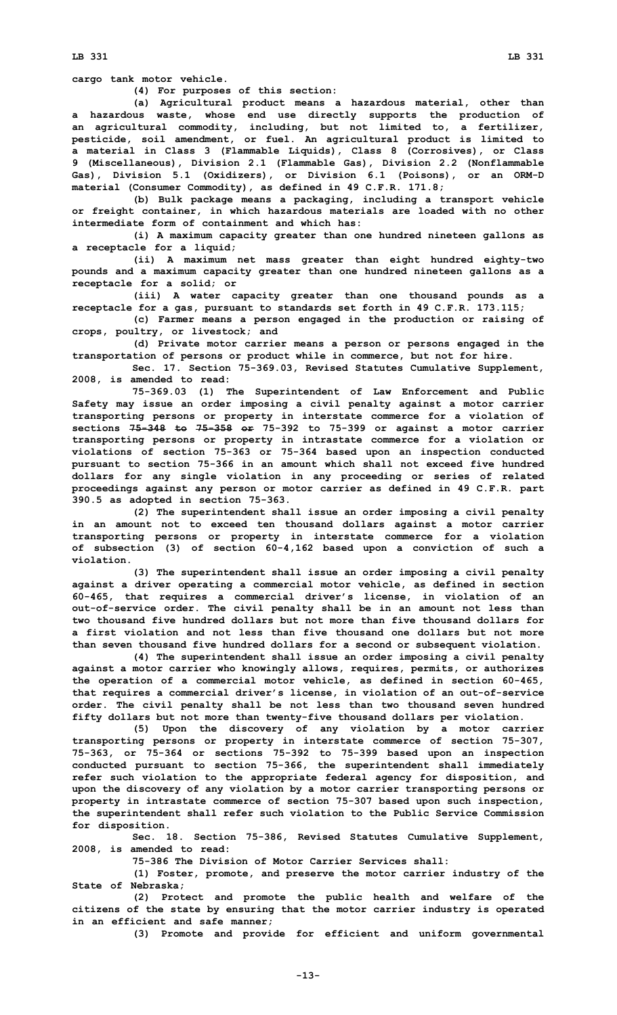**cargo tank motor vehicle.**

**(4) For purposes of this section:**

**(a) Agricultural product means <sup>a</sup> hazardous material, other than <sup>a</sup> hazardous waste, whose end use directly supports the production of an agricultural commodity, including, but not limited to, <sup>a</sup> fertilizer, pesticide, soil amendment, or fuel. An agricultural product is limited to <sup>a</sup> material in Class 3 (Flammable Liquids), Class 8 (Corrosives), or Class 9 (Miscellaneous), Division 2.1 (Flammable Gas), Division 2.2 (Nonflammable Gas), Division 5.1 (Oxidizers), or Division 6.1 (Poisons), or an ORM-D material (Consumer Commodity), as defined in 49 C.F.R. 171.8;**

**(b) Bulk package means <sup>a</sup> packaging, including <sup>a</sup> transport vehicle or freight container, in which hazardous materials are loaded with no other intermediate form of containment and which has:**

**(i) <sup>A</sup> maximum capacity greater than one hundred nineteen gallons as <sup>a</sup> receptacle for <sup>a</sup> liquid;**

**(ii) <sup>A</sup> maximum net mass greater than eight hundred eighty-two pounds and <sup>a</sup> maximum capacity greater than one hundred nineteen gallons as <sup>a</sup> receptacle for <sup>a</sup> solid; or**

**(iii) <sup>A</sup> water capacity greater than one thousand pounds as <sup>a</sup> receptacle for <sup>a</sup> gas, pursuant to standards set forth in 49 C.F.R. 173.115;**

**(c) Farmer means <sup>a</sup> person engaged in the production or raising of crops, poultry, or livestock; and**

**(d) Private motor carrier means <sup>a</sup> person or persons engaged in the transportation of persons or product while in commerce, but not for hire.**

**Sec. 17. Section 75-369.03, Revised Statutes Cumulative Supplement, 2008, is amended to read:**

**75-369.03 (1) The Superintendent of Law Enforcement and Public Safety may issue an order imposing <sup>a</sup> civil penalty against <sup>a</sup> motor carrier transporting persons or property in interstate commerce for <sup>a</sup> violation of sections 75-348 to 75-358 or 75-392 to 75-399 or against <sup>a</sup> motor carrier transporting persons or property in intrastate commerce for <sup>a</sup> violation or violations of section 75-363 or 75-364 based upon an inspection conducted pursuant to section 75-366 in an amount which shall not exceed five hundred dollars for any single violation in any proceeding or series of related proceedings against any person or motor carrier as defined in 49 C.F.R. part 390.5 as adopted in section 75-363.**

**(2) The superintendent shall issue an order imposing <sup>a</sup> civil penalty in an amount not to exceed ten thousand dollars against <sup>a</sup> motor carrier transporting persons or property in interstate commerce for <sup>a</sup> violation of subsection (3) of section 60-4,162 based upon <sup>a</sup> conviction of such <sup>a</sup> violation.**

**(3) The superintendent shall issue an order imposing <sup>a</sup> civil penalty against <sup>a</sup> driver operating <sup>a</sup> commercial motor vehicle, as defined in section 60-465, that requires <sup>a</sup> commercial driver's license, in violation of an out-of-service order. The civil penalty shall be in an amount not less than two thousand five hundred dollars but not more than five thousand dollars for a first violation and not less than five thousand one dollars but not more than seven thousand five hundred dollars for <sup>a</sup> second or subsequent violation.**

**(4) The superintendent shall issue an order imposing <sup>a</sup> civil penalty against <sup>a</sup> motor carrier who knowingly allows, requires, permits, or authorizes the operation of <sup>a</sup> commercial motor vehicle, as defined in section 60-465, that requires <sup>a</sup> commercial driver's license, in violation of an out-of-service order. The civil penalty shall be not less than two thousand seven hundred fifty dollars but not more than twenty-five thousand dollars per violation.**

**(5) Upon the discovery of any violation by <sup>a</sup> motor carrier transporting persons or property in interstate commerce of section 75-307, 75-363, or 75-364 or sections 75-392 to 75-399 based upon an inspection conducted pursuant to section 75-366, the superintendent shall immediately refer such violation to the appropriate federal agency for disposition, and upon the discovery of any violation by <sup>a</sup> motor carrier transporting persons or property in intrastate commerce of section 75-307 based upon such inspection, the superintendent shall refer such violation to the Public Service Commission for disposition.**

**Sec. 18. Section 75-386, Revised Statutes Cumulative Supplement, 2008, is amended to read:**

**75-386 The Division of Motor Carrier Services shall:**

**(1) Foster, promote, and preserve the motor carrier industry of the State of Nebraska;**

**(2) Protect and promote the public health and welfare of the citizens of the state by ensuring that the motor carrier industry is operated in an efficient and safe manner;**

**(3) Promote and provide for efficient and uniform governmental**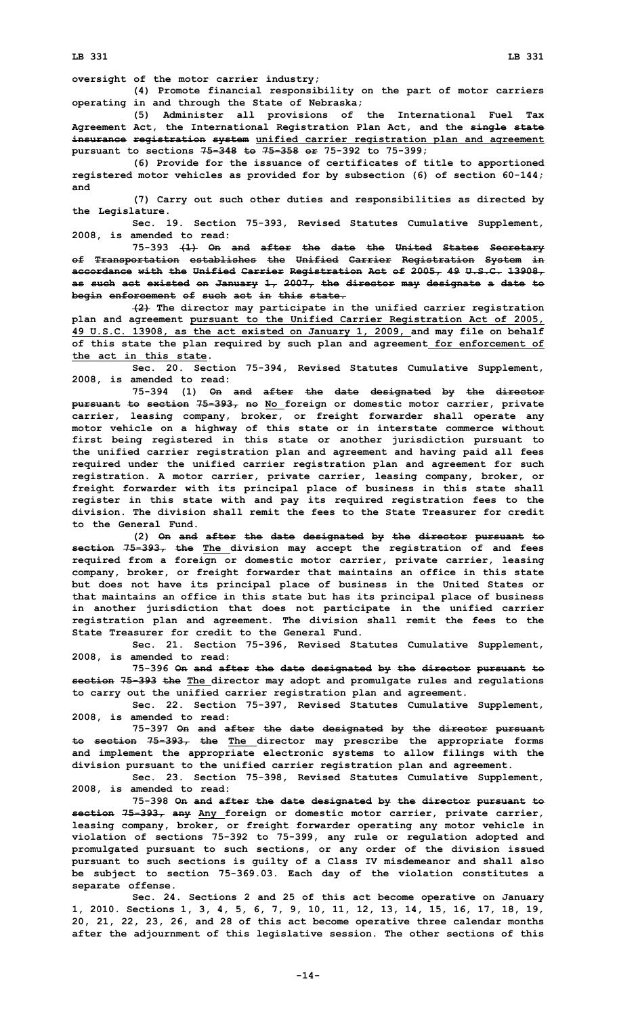**LB 331 LB 331**

**oversight of the motor carrier industry;**

**(4) Promote financial responsibility on the part of motor carriers operating in and through the State of Nebraska;**

**(5) Administer all provisions of the International Fuel Tax Agreement Act, the International Registration Plan Act, and the single state insurance registration system unified carrier registration plan and agreement pursuant to sections 75-348 to 75-358 or 75-392 to 75-399;**

**(6) Provide for the issuance of certificates of title to apportioned registered motor vehicles as provided for by subsection (6) of section 60-144; and**

**(7) Carry out such other duties and responsibilities as directed by the Legislature.**

**Sec. 19. Section 75-393, Revised Statutes Cumulative Supplement, 2008, is amended to read:**

**75-393 (1) On and after the date the United States Secretary of Transportation establishes the Unified Carrier Registration System in accordance with the Unified Carrier Registration Act of 2005, 49 U.S.C. 13908, as such act existed on January 1, 2007, the director may designate <sup>a</sup> date to begin enforcement of such act in this state.**

**(2) The director may participate in the unified carrier registration plan and agreement pursuant to the Unified Carrier Registration Act of 2005, 49 U.S.C. 13908, as the act existed on January 1, 2009, and may file on behalf of this state the plan required by such plan and agreement for enforcement of the act in this state.**

**Sec. 20. Section 75-394, Revised Statutes Cumulative Supplement, 2008, is amended to read:**

**75-394 (1) On and after the date designated by the director pursuant to section 75-393, no No foreign or domestic motor carrier, private carrier, leasing company, broker, or freight forwarder shall operate any motor vehicle on <sup>a</sup> highway of this state or in interstate commerce without first being registered in this state or another jurisdiction pursuant to the unified carrier registration plan and agreement and having paid all fees required under the unified carrier registration plan and agreement for such registration. A motor carrier, private carrier, leasing company, broker, or freight forwarder with its principal place of business in this state shall register in this state with and pay its required registration fees to the division. The division shall remit the fees to the State Treasurer for credit to the General Fund.**

**(2) On and after the date designated by the director pursuant to section 75-393, the The division may accept the registration of and fees required from <sup>a</sup> foreign or domestic motor carrier, private carrier, leasing company, broker, or freight forwarder that maintains an office in this state but does not have its principal place of business in the United States or that maintains an office in this state but has its principal place of business in another jurisdiction that does not participate in the unified carrier registration plan and agreement. The division shall remit the fees to the State Treasurer for credit to the General Fund.**

**Sec. 21. Section 75-396, Revised Statutes Cumulative Supplement, 2008, is amended to read:**

**75-396 On and after the date designated by the director pursuant to section 75-393 the The director may adopt and promulgate rules and regulations to carry out the unified carrier registration plan and agreement.**

**Sec. 22. Section 75-397, Revised Statutes Cumulative Supplement, 2008, is amended to read:**

**75-397 On and after the date designated by the director pursuant to section 75-393, the The director may prescribe the appropriate forms and implement the appropriate electronic systems to allow filings with the division pursuant to the unified carrier registration plan and agreement.**

**Sec. 23. Section 75-398, Revised Statutes Cumulative Supplement, 2008, is amended to read:**

**75-398 On and after the date designated by the director pursuant to section 75-393, any Any foreign or domestic motor carrier, private carrier, leasing company, broker, or freight forwarder operating any motor vehicle in violation of sections 75-392 to 75-399, any rule or regulation adopted and promulgated pursuant to such sections, or any order of the division issued pursuant to such sections is guilty of <sup>a</sup> Class IV misdemeanor and shall also be subject to section 75-369.03. Each day of the violation constitutes <sup>a</sup> separate offense.**

**Sec. 24. Sections 2 and 25 of this act become operative on January 1, 2010. Sections 1, 3, 4, 5, 6, 7, 9, 10, 11, 12, 13, 14, 15, 16, 17, 18, 19, 20, 21, 22, 23, 26, and 28 of this act become operative three calendar months after the adjournment of this legislative session. The other sections of this**